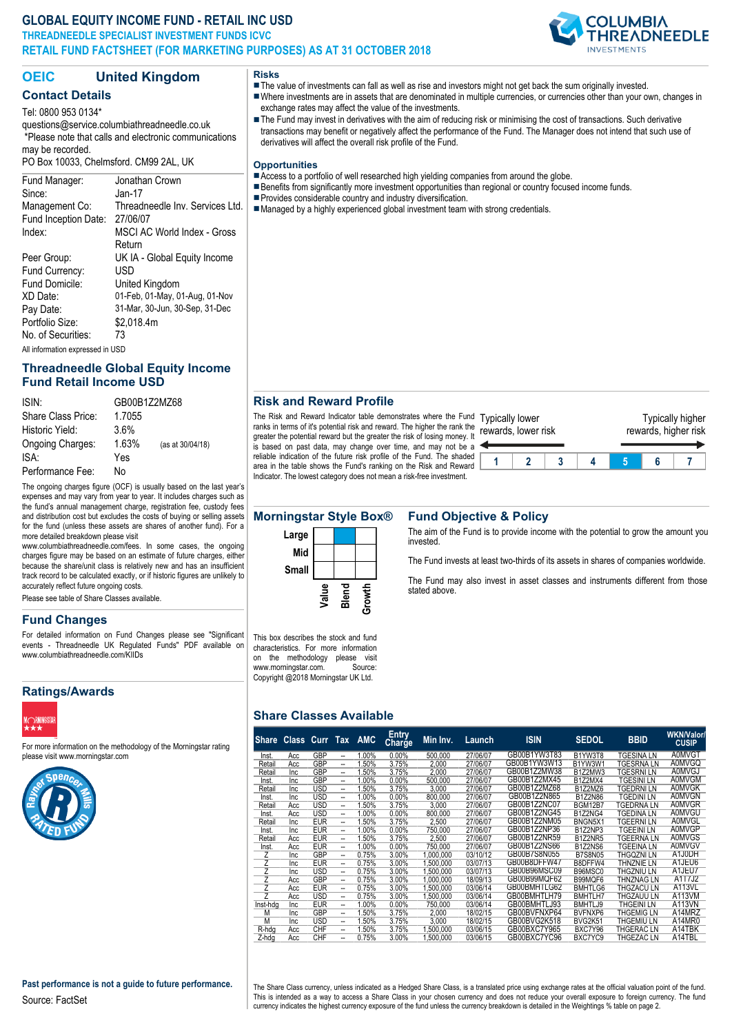### **GLOBAL EQUITY INCOME FUND - RETAIL INC USD THREADNEEDLE SPECIALIST INVESTMENT FUNDS ICVC RETAIL FUND FACTSHEET (FOR MARKETING PURPOSES) AS AT 31 OCTOBER 2018**



# **OEIC United Kingdom**

## **Contact Details**

Tel: 0800 953 0134\*

questions@service.columbiathreadneedle.co.uk \*Please note that calls and electronic communications may be recorded.

PO Box 10033, Chelmsford. CM99 2AL, UK

#### Fund Manager: Jonathan Crown Since: Jan-17 Management Co: Threadneedle Inv. Services Ltd. Fund Inception Date: 27/06/07 Index: MSCI AC World Index - Gross Return Peer Group: UK IA - Global Equity Income Fund Currency: USD Fund Domicile: United Kingdom XD Date: 01-Feb, 01-May, 01-Aug, 01-Nov Pay Date: 31-Mar, 30-Jun, 30-Sep, 31-Dec Portfolio Size: \$2,018.4m No. of Securities: 73 All information expressed in USD

## **Threadneedle Global Equity Income Fund Retail Income USD**

| ISIN:              | GB00B172M768 |                  |  |  |  |  |
|--------------------|--------------|------------------|--|--|--|--|
| Share Class Price: | 1.7055       |                  |  |  |  |  |
| Historic Yield:    | 3.6%         |                  |  |  |  |  |
| Ongoing Charges:   | 1.63%        | (as at 30/04/18) |  |  |  |  |
| ISA:               | Yes          |                  |  |  |  |  |
| Performance Fee:   | N٥           |                  |  |  |  |  |

The ongoing charges figure (OCF) is usually based on the last year's expenses and may vary from year to year. It includes charges such as the fund's annual management charge, registration fee, custody fees and distribution cost but excludes the costs of buying or selling assets for the fund (unless these assets are shares of another fund). For a more detailed breakdown please visit

www.columbiathreadneedle.com/fees. In some cases, the ongoing charges figure may be based on an estimate of future charges, either because the share/unit class is relatively new and has an insufficient track record to be calculated exactly, or if historic figures are unlikely to accurately reflect future ongoing costs.

Please see table of Share Classes available.

#### **Fund Changes**

For detailed information on Fund Changes please see "Significant events - Threadneedle UK Regulated Funds" PDF available on www.columbiathreadneedle.com/KIIDs

#### **Ratings/Awards**



For more information on the methodology of the Morningstar rating please visit www.morningstar.com



**Risks** The value of investments can fall as well as rise and investors might not get back the sum originally invested. nWhere investments are in assets that are denominated in multiple currencies, or currencies other than your own, changes in

exchange rates may affect the value of the investments. ■ The Fund may invest in derivatives with the aim of reducing risk or minimising the cost of transactions. Such derivative transactions may benefit or negatively affect the performance of the Fund. The Manager does not intend that such use of derivatives will affect the overall risk profile of the Fund.

#### **Opportunities**

- $\blacksquare$  Access to a portfolio of well researched high yielding companies from around the globe.
- **Benefits from significantly more investment opportunities than regional or country focused income funds.**
- **Provides considerable country and industry diversification.**
- Managed by a highly experienced global investment team with strong credentials.

#### **Risk and Reward Profile**

The Risk and Reward Indicator table demonstrates where the Fund Typically lower ranks in terms of it's potential risk and reward. The higher the rank the rewards, lower risk greater the potential reward but the greater the risk of losing money. It is based on past data, may change over time, and may not be a reliable indication of the future risk profile of the Fund. The shaded area in the table shows the Fund's ranking on the Risk and Reward Indicator. The lowest category does not mean a risk-free investment.



#### **Morningstar Style Box® Fund Objective & Policy**



The aim of the Fund is to provide income with the potential to grow the amount you invested.

The Fund invests at least two-thirds of its assets in shares of companies worldwide.

The Fund may also invest in asset classes and instruments different from those stated above.

This box describes the stock and fund characteristics. For more information on the methodology please visit<br>www.morningstar.com. Source: www.morningstar.com. Copyright @2018 Morningstar UK Ltd.

#### **Share Classes Available**

|                         | Share Class Curr Tax AMC |            |    |       | <b>Entry</b><br>Charge | Min Inv.  | Launch   | <b>ISIN</b>  | <b>SEDOL</b>   | <b>BBID</b>       | <b>WKN/Valor/</b><br><b>CUSIP</b> |
|-------------------------|--------------------------|------------|----|-------|------------------------|-----------|----------|--------------|----------------|-------------------|-----------------------------------|
| Inst.                   | Acc                      | <b>GBP</b> | -- | 1.00% | 0.00%                  | 500,000   | 27/06/07 | GB00B1YW3T83 | B1YW3T8        | <b>TGESINA LN</b> | <b>A0MVGT</b>                     |
| Retail                  | Acc                      | GBP        | -- | 1.50% | 3.75%                  | 2.000     | 27/06/07 | GB00B1YW3W13 | B1YW3W1        | TGESRNA LN        | <b>A0MVGQ</b>                     |
| Retail                  | Inc                      | <b>GBP</b> | -- | 1.50% | 3.75%                  | 2.000     | 27/06/07 | GB00B1Z2MW38 | B1Z2MW3        | TGESRNI LN        | <b>A0MVGJ</b>                     |
| Inst.                   | Inc                      | <b>GBP</b> | -- | 1.00% | 0.00%                  | 500.000   | 27/06/07 | GB00B1Z2MX45 | <b>B1Z2MX4</b> | <b>TGESINILN</b>  | <b>A0MVGM</b>                     |
| Retail                  | Inc                      | <b>USD</b> | -- | 1.50% | 3.75%                  | 3.000     | 27/06/07 | GB00B1Z2MZ68 | B1Z2MZ6        | <b>TGEDRNILN</b>  | <b>A0MVGK</b>                     |
| Inst.                   | Inc                      | USD        | -- | 1.00% | $0.00\%$               | 800.000   | 27/06/07 | GB00B1Z2N865 | <b>B1Z2N86</b> | <b>TGEDINI LN</b> | <b>A0MVGN</b>                     |
| Retail                  | Acc                      | USD        | -- | 1.50% | 3.75%                  | 3.000     | 27/06/07 | GB00B1Z2NC07 | <b>BGM12B7</b> | <b>TGEDRNA LN</b> | <b>A0MVGR</b>                     |
| Inst.                   | Acc                      | USD        | -- | 1.00% | 0.00%                  | 800.000   | 27/06/07 | GB00B1Z2NG45 | B1Z2NG4        | TGEDINA LN        | <b>A0MVGU</b>                     |
| Retail                  | <b>Inc</b>               | <b>EUR</b> | -- | 1.50% | 3.75%                  | 2.500     | 27/06/07 | GB00B1Z2NM05 | BNGN5X1        | TGEERNI LN        | <b>A0MVGL</b>                     |
| Inst.                   | Inc                      | <b>EUR</b> | -- | 1.00% | $0.00\%$               | 750.000   | 27/06/07 | GB00B1Z2NP36 | B1Z2NP3        | <b>TGEEINI LN</b> | <b>A0MVGP</b>                     |
| Retail                  | Acc                      | <b>EUR</b> | -- | 1.50% | 3.75%                  | 2.500     | 27/06/07 | GB00B1Z2NR59 | B1Z2NR5        | TGEERNA LN        | A0MVGS                            |
| Inst.                   | Acc                      | <b>EUR</b> | -- | 1.00% | $0.00\%$               | 750.000   | 27/06/07 | GB00B1Z2NS66 | B1Z2NS6        | <b>TGEEINA LN</b> | <b>A0MVGV</b>                     |
| Ζ                       | <b>Inc</b>               | <b>GBP</b> | -- | 0.75% | 3.00%                  | 1.000.000 | 03/10/12 | GB00B7S8N055 | <b>B7S8N05</b> | THGOZNI LN        | A1J0DH                            |
| $\overline{z}$          | Inc                      | <b>EUR</b> | -- | 0.75% | 3.00%                  | 1.500.000 | 03/07/13 | GB00B8DFFW47 | B8DFFW4        | THNZNIE LN        | A1JEU6                            |
| $\overline{\mathsf{z}}$ | Inc                      | USD        | -- | 0.75% | 3.00%                  | 1.500.000 | 03/07/13 | GB00B96MSC09 | B96MSC0        | THGZNIU LN        | A1JEU7                            |
| $\overline{z}$          | Acc                      | <b>GBP</b> | -- | 0.75% | 3.00%                  | 1.000.000 | 18/09/13 | GB00B99MQF62 | B99MQF6        | THNZNAG LN        | A1T7J2                            |
| $\overline{z}$          | Acc                      | <b>EUR</b> | -- | 0.75% | 3.00%                  | 1.500,000 | 03/06/14 | GB00BMHTLG62 | BMHTLG6        | <b>THGZACULN</b>  | A113VL                            |
| $\overline{z}$          | Acc                      | USD        | -- | 0.75% | 3.00%                  | 1.500.000 | 03/06/14 | GB00BMHTLH79 | <b>BMHTLH7</b> | THGZAUU LN        | A113VM                            |
| Inst-hda                | Inc                      | <b>EUR</b> | -- | 1.00% | 0.00%                  | 750.000   | 03/06/14 | GB00BMHTLJ93 | BMHTLJ9        | THGEINI LN        | <b>A113VN</b>                     |
| M                       | Inc                      | <b>GBP</b> | -- | 1.50% | 3.75%                  | 2.000     | 18/02/15 | GB00BVFNXP64 | BVFNXP6        | <b>THGEMIG LN</b> | A14MRZ                            |
| M                       | Inc                      | <b>USD</b> | -- | 1.50% | 3.75%                  | 3.000     | 18/02/15 | GB00BVG2K518 | <b>BVG2K51</b> | THGEMIU LN        | A14MR0                            |
| R-hdg                   | Acc                      | <b>CHF</b> | -- | 1.50% | 3.75%                  | 1.500.000 | 03/06/15 | GB00BXC7Y965 | BXC7Y96        | <b>THGERAC LN</b> | A14TBK                            |
| Z-hdg                   | Acc                      | <b>CHF</b> | -- | 0.75% | 3.00%                  | 1.500.000 | 03/06/15 | GB00BXC7YC96 | BXC7YC9        | THGEZAC LN        | A14TBL                            |

The Share Class currency, unless indicated as a Hedged Share Class, is a translated price using exchange rates at the official valuation point of the fund. This is intended as a way to access a Share Class in your chosen currency and does not reduce your overall exposure to foreign currency. The fund currency indicates the highest currency exposure of the fund unless the currency breakdown is detailed in the Weightings % table on page 2.